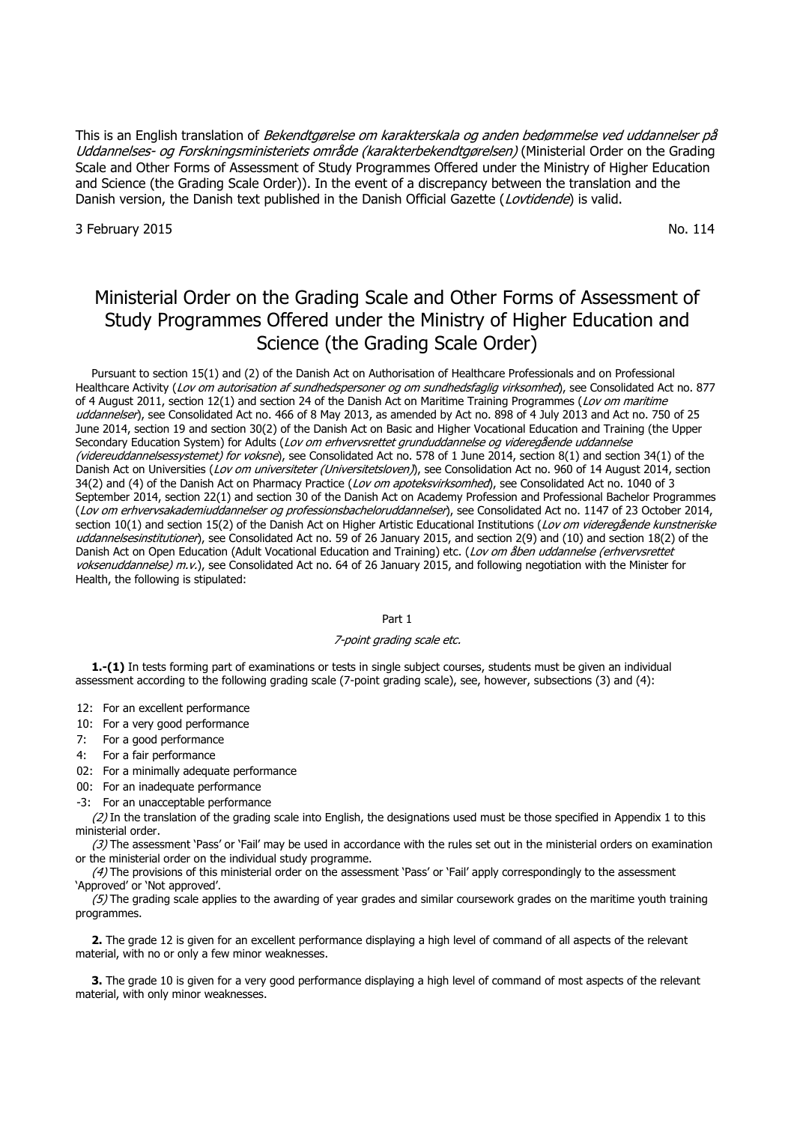This is an English translation of *Bekendtgørelse om karakterskala og anden bedømmelse ved uddannelser på* Uddannelses- og Forskningsministeriets område (karakterbekendtgørelsen) (Ministerial Order on the Grading Scale and Other Forms of Assessment of Study Programmes Offered under the Ministry of Higher Education and Science (the Grading Scale Order)). In the event of a discrepancy between the translation and the Danish version, the Danish text published in the Danish Official Gazette (Lovtidende) is valid.

3 February 2015 No. 114

# Ministerial Order on the Grading Scale and Other Forms of Assessment of Study Programmes Offered under the Ministry of Higher Education and Science (the Grading Scale Order)

Pursuant to section 15(1) and (2) of the Danish Act on Authorisation of Healthcare Professionals and on Professional Healthcare Activity (Lov om autorisation af sundhedspersoner og om sundhedsfaglig virksomhed), see Consolidated Act no. 877 of 4 August 2011, section 12(1) and section 24 of the Danish Act on Maritime Training Programmes (Lov om maritime uddannelser), see Consolidated Act no. 466 of 8 May 2013, as amended by Act no. 898 of 4 July 2013 and Act no. 750 of 25 June 2014, section 19 and section 30(2) of the Danish Act on Basic and Higher Vocational Education and Training (the Upper Secondary Education System) for Adults (Lov om erhvervsrettet grunduddannelse og videregående uddannelse (videreuddannelsessystemet) for voksne), see Consolidated Act no. 578 of 1 June 2014, section 8(1) and section 34(1) of the Danish Act on Universities (Lov om universiteter (Universitetsloven)), see Consolidation Act no. 960 of 14 August 2014, section 34(2) and (4) of the Danish Act on Pharmacy Practice (Lov om apoteksvirksomhed), see Consolidated Act no. 1040 of 3 September 2014, section 22(1) and section 30 of the Danish Act on Academy Profession and Professional Bachelor Programmes (Lov om erhvervsakademiuddannelser og professionsbacheloruddannelser), see Consolidated Act no. 1147 of 23 October 2014, section 10(1) and section 15(2) of the Danish Act on Higher Artistic Educational Institutions (Lov om videregående kunstneriske uddannelsesinstitutioner), see Consolidated Act no. 59 of 26 January 2015, and section 2(9) and (10) and section 18(2) of the Danish Act on Open Education (Adult Vocational Education and Training) etc. (Lov om åben uddannelse (erhvervsrettet voksenuddannelse) m.v.), see Consolidated Act no. 64 of 26 January 2015, and following negotiation with the Minister for Health, the following is stipulated:

## Part 1

## 7-point grading scale etc.

**1.-(1)** In tests forming part of examinations or tests in single subject courses, students must be given an individual assessment according to the following grading scale (7-point grading scale), see, however, subsections (3) and (4):

12: For an excellent performance

10: For a very good performance

7: For a good performance

4: For a fair performance

02: For a minimally adequate performance

00: For an inadequate performance

-3: For an unacceptable performance

(2) In the translation of the grading scale into English, the designations used must be those specified in Appendix 1 to this ministerial order.

 $(3)$  The assessment 'Pass' or 'Fail' may be used in accordance with the rules set out in the ministerial orders on examination or the ministerial order on the individual study programme.

 $(4)$  The provisions of this ministerial order on the assessment 'Pass' or 'Fail' apply correspondingly to the assessment 'Approved' or 'Not approved'.

(5) The grading scale applies to the awarding of year grades and similar coursework grades on the maritime youth training programmes.

**2.** The grade 12 is given for an excellent performance displaying a high level of command of all aspects of the relevant material, with no or only a few minor weaknesses.

**3.** The grade 10 is given for a very good performance displaying a high level of command of most aspects of the relevant material, with only minor weaknesses.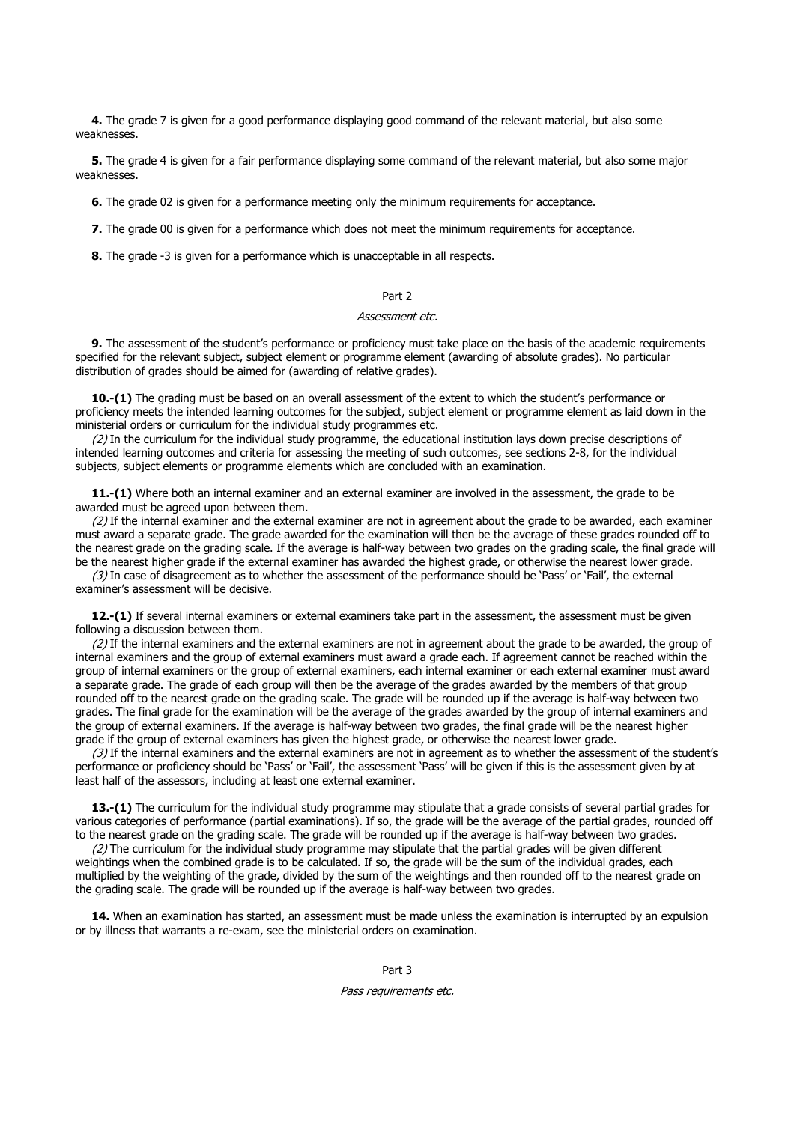**4.** The grade 7 is given for a good performance displaying good command of the relevant material, but also some weaknesses.

**5.** The grade 4 is given for a fair performance displaying some command of the relevant material, but also some major weaknesses.

**6.** The grade 02 is given for a performance meeting only the minimum requirements for acceptance.

**7.** The grade 00 is given for a performance which does not meet the minimum requirements for acceptance.

**8.** The grade -3 is given for a performance which is unacceptable in all respects.

### Part 2

## Assessment etc.

**9.** The assessment of the student's performance or proficiency must take place on the basis of the academic requirements specified for the relevant subject, subject element or programme element (awarding of absolute grades). No particular distribution of grades should be aimed for (awarding of relative grades).

**10.-(1)** The grading must be based on an overall assessment of the extent to which the student's performance or proficiency meets the intended learning outcomes for the subject, subject element or programme element as laid down in the ministerial orders or curriculum for the individual study programmes etc.

(2) In the curriculum for the individual study programme, the educational institution lays down precise descriptions of intended learning outcomes and criteria for assessing the meeting of such outcomes, see sections 2-8, for the individual subjects, subject elements or programme elements which are concluded with an examination.

**11.-(1)** Where both an internal examiner and an external examiner are involved in the assessment, the grade to be awarded must be agreed upon between them.

 $(2)$  If the internal examiner and the external examiner are not in agreement about the grade to be awarded, each examiner must award a separate grade. The grade awarded for the examination will then be the average of these grades rounded off to the nearest grade on the grading scale. If the average is half-way between two grades on the grading scale, the final grade will be the nearest higher grade if the external examiner has awarded the highest grade, or otherwise the nearest lower grade.

(3) In case of disagreement as to whether the assessment of the performance should be 'Pass' or 'Fail', the external examiner's assessment will be decisive.

**12.-(1)** If several internal examiners or external examiners take part in the assessment, the assessment must be given following a discussion between them.

(2) If the internal examiners and the external examiners are not in agreement about the grade to be awarded, the group of internal examiners and the group of external examiners must award a grade each. If agreement cannot be reached within the group of internal examiners or the group of external examiners, each internal examiner or each external examiner must award a separate grade. The grade of each group will then be the average of the grades awarded by the members of that group rounded off to the nearest grade on the grading scale. The grade will be rounded up if the average is half-way between two grades. The final grade for the examination will be the average of the grades awarded by the group of internal examiners and the group of external examiners. If the average is half-way between two grades, the final grade will be the nearest higher grade if the group of external examiners has given the highest grade, or otherwise the nearest lower grade.

(3) If the internal examiners and the external examiners are not in agreement as to whether the assessment of the student's performance or proficiency should be 'Pass' or 'Fail', the assessment 'Pass' will be given if this is the assessment given by at least half of the assessors, including at least one external examiner.

**13.-(1)** The curriculum for the individual study programme may stipulate that a grade consists of several partial grades for various categories of performance (partial examinations). If so, the grade will be the average of the partial grades, rounded off to the nearest grade on the grading scale. The grade will be rounded up if the average is half-way between two grades.

(2) The curriculum for the individual study programme may stipulate that the partial grades will be given different weightings when the combined grade is to be calculated. If so, the grade will be the sum of the individual grades, each multiplied by the weighting of the grade, divided by the sum of the weightings and then rounded off to the nearest grade on the grading scale. The grade will be rounded up if the average is half-way between two grades.

**14.** When an examination has started, an assessment must be made unless the examination is interrupted by an expulsion or by illness that warrants a re-exam, see the ministerial orders on examination.

Part 3

#### Pass requirements etc.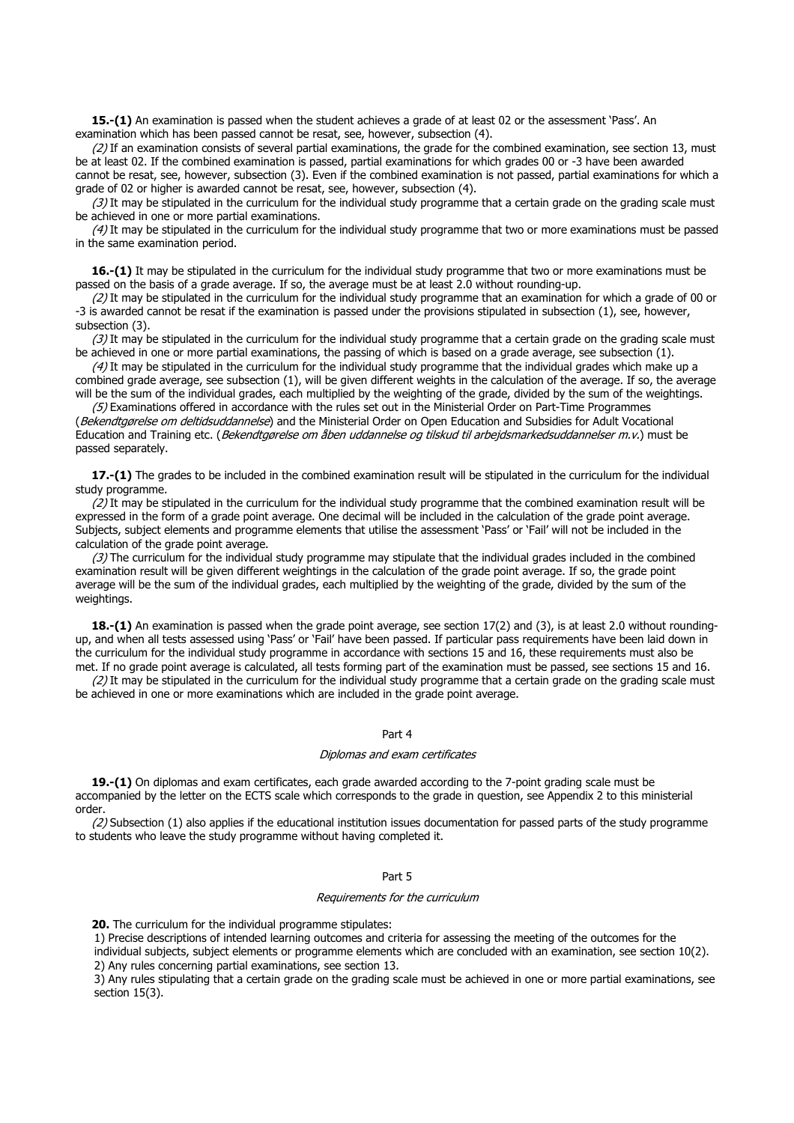**15.-(1)** An examination is passed when the student achieves a grade of at least 02 or the assessment 'Pass'. An examination which has been passed cannot be resat, see, however, subsection (4).

 $(2)$  If an examination consists of several partial examinations, the grade for the combined examination, see section 13, must be at least 02. If the combined examination is passed, partial examinations for which grades 00 or -3 have been awarded cannot be resat, see, however, subsection (3). Even if the combined examination is not passed, partial examinations for which a grade of 02 or higher is awarded cannot be resat, see, however, subsection (4).

 $(3)$  It may be stipulated in the curriculum for the individual study programme that a certain grade on the grading scale must be achieved in one or more partial examinations.

 $(4)$  It may be stipulated in the curriculum for the individual study programme that two or more examinations must be passed in the same examination period.

**16.-(1)** It may be stipulated in the curriculum for the individual study programme that two or more examinations must be passed on the basis of a grade average. If so, the average must be at least 2.0 without rounding-up.

(2) It may be stipulated in the curriculum for the individual study programme that an examination for which a grade of 00 or -3 is awarded cannot be resat if the examination is passed under the provisions stipulated in subsection (1), see, however, subsection (3).

 $(3)$  It may be stipulated in the curriculum for the individual study programme that a certain grade on the grading scale must be achieved in one or more partial examinations, the passing of which is based on a grade average, see subsection (1).

 $(4)$  It may be stipulated in the curriculum for the individual study programme that the individual grades which make up a combined grade average, see subsection (1), will be given different weights in the calculation of the average. If so, the average will be the sum of the individual grades, each multiplied by the weighting of the grade, divided by the sum of the weightings.

(5) Examinations offered in accordance with the rules set out in the Ministerial Order on Part-Time Programmes (Bekendtgørelse om deltidsuddannelse) and the Ministerial Order on Open Education and Subsidies for Adult Vocational Education and Training etc. (Bekendtgørelse om åben uddannelse og tilskud til arbejdsmarkedsuddannelser m.v.) must be passed separately.

**17.-(1)** The grades to be included in the combined examination result will be stipulated in the curriculum for the individual study programme.

 $(2)$  It may be stipulated in the curriculum for the individual study programme that the combined examination result will be expressed in the form of a grade point average. One decimal will be included in the calculation of the grade point average. Subjects, subject elements and programme elements that utilise the assessment 'Pass' or 'Fail' will not be included in the calculation of the grade point average.

 $(3)$  The curriculum for the individual study programme may stipulate that the individual grades included in the combined examination result will be given different weightings in the calculation of the grade point average. If so, the grade point average will be the sum of the individual grades, each multiplied by the weighting of the grade, divided by the sum of the weightings.

**18.-(1)** An examination is passed when the grade point average, see section 17(2) and (3), is at least 2.0 without roundingup, and when all tests assessed using 'Pass' or 'Fail' have been passed. If particular pass requirements have been laid down in the curriculum for the individual study programme in accordance with sections 15 and 16, these requirements must also be met. If no grade point average is calculated, all tests forming part of the examination must be passed, see sections 15 and 16.

 $(2)$  It may be stipulated in the curriculum for the individual study programme that a certain grade on the grading scale must be achieved in one or more examinations which are included in the grade point average.

#### Part 4

#### Diplomas and exam certificates

**19.-(1)** On diplomas and exam certificates, each grade awarded according to the 7-point grading scale must be accompanied by the letter on the ECTS scale which corresponds to the grade in question, see Appendix 2 to this ministerial order.

 $(2)$  Subsection  $(1)$  also applies if the educational institution issues documentation for passed parts of the study programme to students who leave the study programme without having completed it.

## Part 5

#### Requirements for the curriculum

**20.** The curriculum for the individual programme stipulates:

1) Precise descriptions of intended learning outcomes and criteria for assessing the meeting of the outcomes for the

individual subjects, subject elements or programme elements which are concluded with an examination, see section 10(2). 2) Any rules concerning partial examinations, see section 13.

3) Any rules stipulating that a certain grade on the grading scale must be achieved in one or more partial examinations, see section 15(3).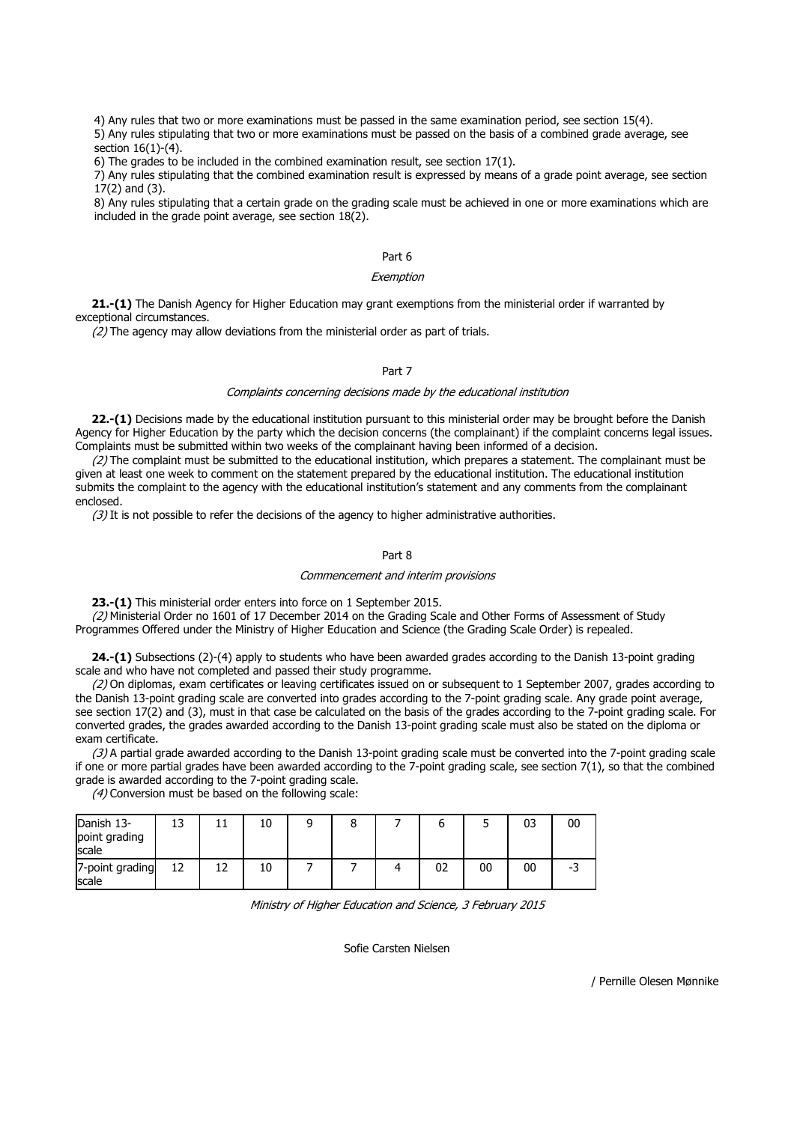4) Any rules that two or more examinations must be passed in the same examination period, see section 15(4).

5) Any rules stipulating that two or more examinations must be passed on the basis of a combined grade average, see section 16(1)-(4).

6) The grades to be included in the combined examination result, see section 17(1).

7) Any rules stipulating that the combined examination result is expressed by means of a grade point average, see section 17(2) and (3).

8) Any rules stipulating that a certain grade on the grading scale must be achieved in one or more examinations which are included in the grade point average, see section 18(2).

## Part 6

### Exemption

**21.-(1)** The Danish Agency for Higher Education may grant exemptions from the ministerial order if warranted by exceptional circumstances.

 $(2)$  The agency may allow deviations from the ministerial order as part of trials.

## Part 7

#### Complaints concerning decisions made by the educational institution

**22.-(1)** Decisions made by the educational institution pursuant to this ministerial order may be brought before the Danish Agency for Higher Education by the party which the decision concerns (the complainant) if the complaint concerns legal issues. Complaints must be submitted within two weeks of the complainant having been informed of a decision.

 $(2)$  The complaint must be submitted to the educational institution, which prepares a statement. The complainant must be given at least one week to comment on the statement prepared by the educational institution. The educational institution submits the complaint to the agency with the educational institution's statement and any comments from the complainant enclosed.

 $(3)$  It is not possible to refer the decisions of the agency to higher administrative authorities.

### Part 8

#### Commencement and interim provisions

**23.-(1)** This ministerial order enters into force on 1 September 2015.

(2) Ministerial Order no 1601 of 17 December 2014 on the Grading Scale and Other Forms of Assessment of Study Programmes Offered under the Ministry of Higher Education and Science (the Grading Scale Order) is repealed.

**24.-(1)** Subsections (2)-(4) apply to students who have been awarded grades according to the Danish 13-point grading scale and who have not completed and passed their study programme.

(2) On diplomas, exam certificates or leaving certificates issued on or subsequent to 1 September 2007, grades according to the Danish 13-point grading scale are converted into grades according to the 7-point grading scale. Any grade point average, see section 17(2) and (3), must in that case be calculated on the basis of the grades according to the 7-point grading scale. For converted grades, the grades awarded according to the Danish 13-point grading scale must also be stated on the diploma or exam certificate.

(3) A partial grade awarded according to the Danish 13-point grading scale must be converted into the 7-point grading scale if one or more partial grades have been awarded according to the 7-point grading scale, see section 7(1), so that the combined grade is awarded according to the 7-point grading scale.

(4) Conversion must be based on the following scale:

| Danish 13-<br>point grading<br>scale | ∸  | 10 |  |    |    | 03 | 00 |
|--------------------------------------|----|----|--|----|----|----|----|
| 7-point grading<br>scale             | 12 | 10 |  | 02 | 00 | 00 | -3 |

Ministry of Higher Education and Science, 3 February 2015

Sofie Carsten Nielsen

/ Pernille Olesen Mønnike